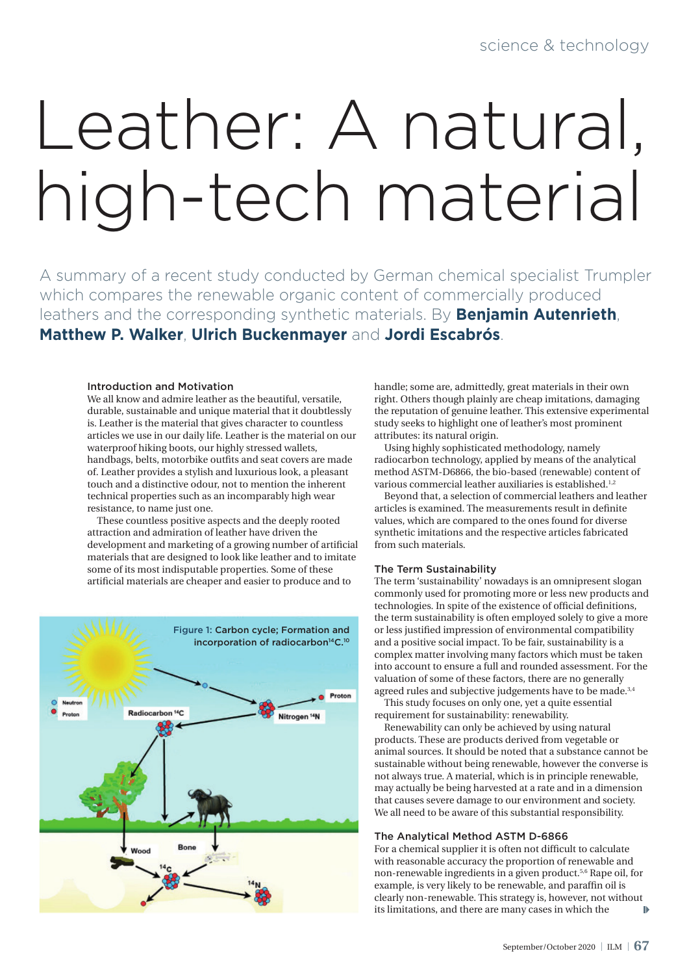# Leather: A natural, high-tech material

A summary of a recent study conducted by German chemical specialist Trumpler which compares the renewable organic content of commercially produced leathers and the corresponding synthetic materials. By **Benjamin Autenrieth**, **Matthew P. Walker**, **Ulrich Buckenmayer** and **Jordi Escabrós**.

#### Introduction and Motivation

We all know and admire leather as the beautiful, versatile, durable, sustainable and unique material that it doubtlessly is. Leather is the material that gives character to countless articles we use in our daily life. Leather is the material on our waterproof hiking boots, our highly stressed wallets, handbags, belts, motorbike outfits and seat covers are made of. Leather provides a stylish and luxurious look, a pleasant touch and a distinctive odour, not to mention the inherent technical properties such as an incomparably high wear resistance, to name just one.

These countless positive aspects and the deeply rooted attraction and admiration of leather have driven the development and marketing of a growing number of artificial materials that are designed to look like leather and to imitate some of its most indisputable properties. Some of these artificial materials are cheaper and easier to produce and to



handle; some are, admittedly, great materials in their own right. Others though plainly are cheap imitations, damaging the reputation of genuine leather. This extensive experimental study seeks to highlight one of leather's most prominent attributes: its natural origin.

Using highly sophisticated methodology, namely radiocarbon technology, applied by means of the analytical method ASTM-D6866, the bio-based (renewable) content of various commercial leather auxiliaries is established.<sup>1,2</sup>

Beyond that, a selection of commercial leathers and leather articles is examined. The measurements result in definite values, which are compared to the ones found for diverse synthetic imitations and the respective articles fabricated from such materials.

#### The Term Sustainability

The term 'sustainability' nowadays is an omnipresent slogan commonly used for promoting more or less new products and technologies. In spite of the existence of official definitions, the term sustainability is often employed solely to give a more or less justified impression of environmental compatibility and a positive social impact. To be fair, sustainability is a complex matter involving many factors which must be taken into account to ensure a full and rounded assessment. For the valuation of some of these factors, there are no generally agreed rules and subjective judgements have to be made.<sup>3,4</sup>

This study focuses on only one, yet a quite essential requirement for sustainability: renewability.

Renewability can only be achieved by using natural products. These are products derived from vegetable or animal sources. It should be noted that a substance cannot be sustainable without being renewable, however the converse is not always true. A material, which is in principle renewable, may actually be being harvested at a rate and in a dimension that causes severe damage to our environment and society. We all need to be aware of this substantial responsibility.

#### The Analytical Method ASTM D-6866

For a chemical supplier it is often not difficult to calculate with reasonable accuracy the proportion of renewable and non-renewable ingredients in a given product.5,6 Rape oil, for example, is very likely to be renewable, and paraffin oil is clearly non-renewable. This strategy is, however, not without its limitations, and there are many cases in which the  $\mathbf{B}$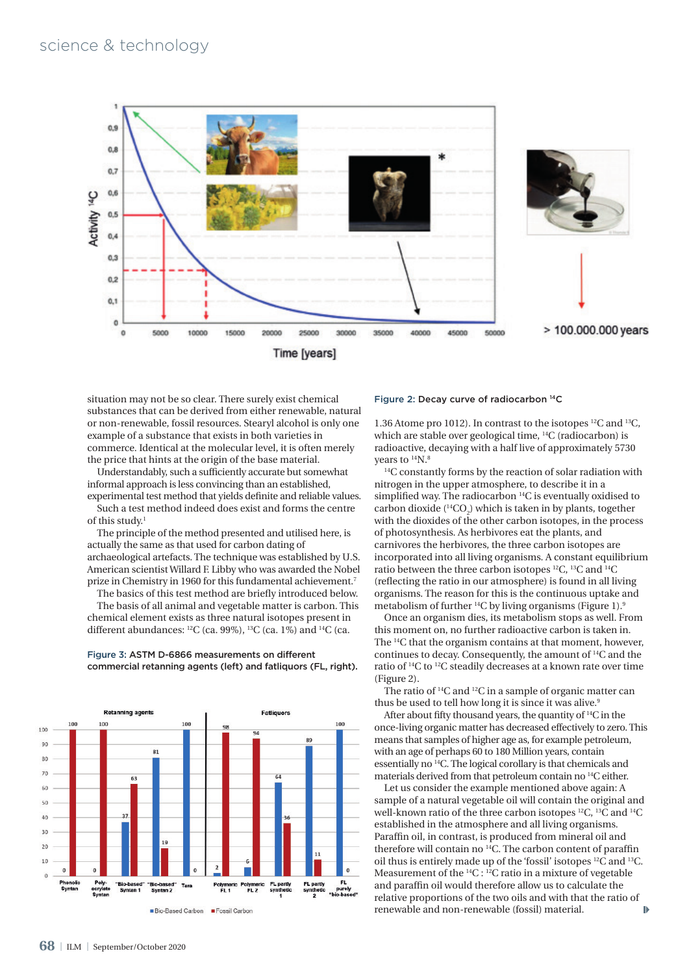

FL<br>purely

situation may not be so clear. There surely exist chemical substances that can be derived from either renewable, natural or non-renewable, fossil resources. Stearyl alcohol is only one example of a substance that exists in both varieties in commerce. Identical at the molecular level, it is often merely the price that hints at the origin of the base material.

Understandably, such a sufficiently accurate but somewhat informal approach is less convincing than an established, experimental test method that yields definite and reliable values.

Such a test method indeed does exist and forms the centre of this study.1

The principle of the method presented and utilised here, is actually the same as that used for carbon dating of archaeological artefacts. The technique was established by U.S. American scientist Willard F. Libby who was awarded the Nobel prize in Chemistry in 1960 for this fundamental achievement.7

The basics of this test method are briefly introduced below. The basis of all animal and vegetable matter is carbon. This chemical element exists as three natural isotopes present in different abundances:  ${}^{12}C$  (ca. 99%),  ${}^{13}C$  (ca. 1%) and  ${}^{14}C$  (ca.



Tan

Bio-Based Carbon

Bio-base<br>Syntan 2

olymeric<br>FL 2

olyme<br>FL 1

Fossil Carbon

#### Figure 3: ASTM D-6866 measurements on different commercial retanning agents (left) and fatliquors (FL, right).

#### Figure 2: Decay curve of radiocarbon 14C

1.36 Atome pro 1012). In contrast to the isotopes 12C and 13C, which are stable over geological time, 14C (radiocarbon) is radioactive, decaying with a half live of approximately 5730 years to  $14N$ .<sup>8</sup><br><sup>14</sup>C constantly forms by the reaction of solar radiation with

nitrogen in the upper atmosphere, to describe it in a simplified way. The radiocarbon <sup>14</sup>C is eventually oxidised to carbon dioxide ( $^{14}CO_2$ ) which is taken in by plants, together with the dioxides of the other carbon isotopes, in the process of photosynthesis. As herbivores eat the plants, and carnivores the herbivores, the three carbon isotopes are incorporated into all living organisms. A constant equilibrium ratio between the three carbon isotopes 12C, 13C and 14C (reflecting the ratio in our atmosphere) is found in all living organisms. The reason for this is the continuous uptake and metabolism of further <sup>14</sup>C by living organisms (Figure 1).<sup>9</sup>

Once an organism dies, its metabolism stops as well. From this moment on, no further radioactive carbon is taken in. The 14C that the organism contains at that moment, however, continues to decay. Consequently, the amount of 14C and the ratio of 14C to 12C steadily decreases at a known rate over time (Figure 2).

The ratio of 14C and 12C in a sample of organic matter can thus be used to tell how long it is since it was alive.<sup>9</sup>

After about fifty thousand years, the quantity of 14C in the once-living organic matter has decreased effectively to zero. This means that samples of higher age as, for example petroleum, with an age of perhaps 60 to 180 Million years, contain essentially no 14C. The logical corollary is that chemicals and materials derived from that petroleum contain no 14C either.

Let us consider the example mentioned above again: A sample of a natural vegetable oil will contain the original and well-known ratio of the three carbon isotopes <sup>12</sup>C, <sup>13</sup>C and <sup>14</sup>C established in the atmosphere and all living organisms. Paraffin oil, in contrast, is produced from mineral oil and therefore will contain no 14C. The carbon content of paraffin oil thus is entirely made up of the 'fossil' isotopes 12C and 13C. Measurement of the 14C : 12C ratio in a mixture of vegetable and paraffin oil would therefore allow us to calculate the relative proportions of the two oils and with that the ratio of  $\mathbf{D}$ renewable and non-renewable (fossil) material.

ruasei<br>mtan 1

 $\overline{s}$ 

Poly-<br>acrylate<br>Syntan

 $10$  $\overline{0}$  $\epsilon$ 

Pheno<br>Synta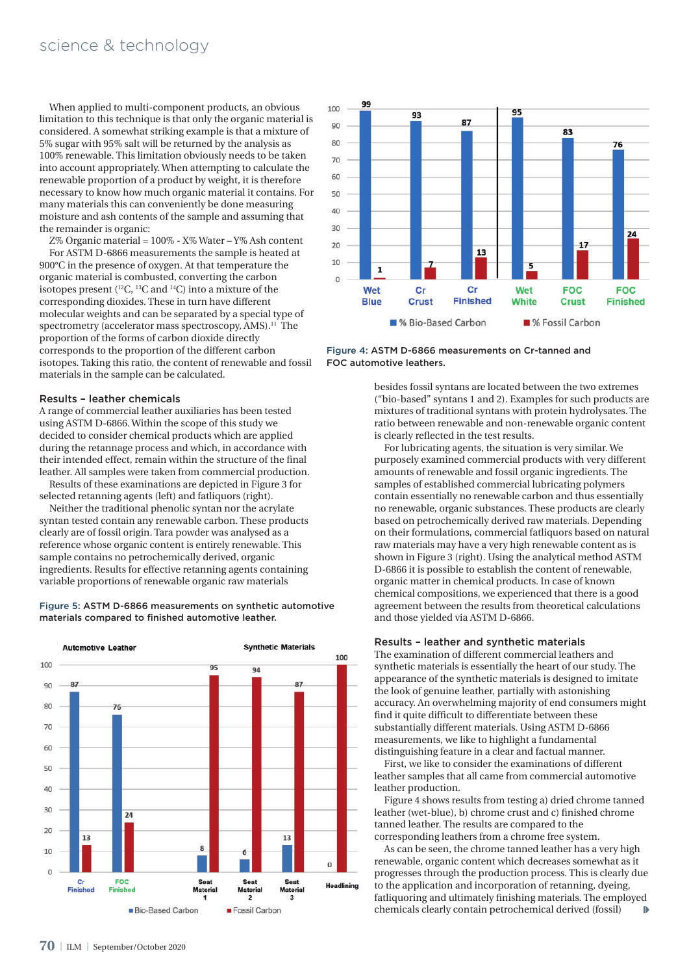When applied to multi-component products, an obvious limitation to this technique is that only the organic material is considered. A somewhat striking example is that a mixture of 5% sugar with 95% salt will be returned by the analysis as 100% renewable. This limitation obviously needs to be taken into account appropriately. When attempting to calculate the renewable proportion of a product by weight, it is therefore necessary to know how much organic material it contains. For many materials this can conveniently be done measuring moisture and ash contents of the sample and assuming that the remainder is organic:

Z% Organic material = 100% - X% Water – Y% Ash content For ASTM D-6866 measurements the sample is heated at 900°C in the presence of oxygen. At that temperature the organic material is combusted, converting the carbon isotopes present  $(12)$ <sup>13</sup>C and  $14$ C) into a mixture of the corresponding dioxides. These in turn have different molecular weights and can be separated by a special type of spectrometry (accelerator mass spectroscopy, AMS).<sup>11</sup> The proportion of the forms of carbon dioxide directly corresponds to the proportion of the different carbon isotopes. Taking this ratio, the content of renewable and fossil materials in the sample can be calculated.

#### Results – leather chemicals

A range of commercial leather auxiliaries has been tested using ASTM D-6866. Within the scope of this study we decided to consider chemical products which are applied during the retannage process and which, in accordance with their intended effect, remain within the structure of the final leather. All samples were taken from commercial production.

Results of these examinations are depicted in Figure 3 for selected retanning agents (left) and fatliquors (right).

Neither the traditional phenolic syntan nor the acrylate syntan tested contain any renewable carbon. These products clearly are of fossil origin. Tara powder was analysed as a reference whose organic content is entirely renewable. This sample contains no petrochemically derived, organic ingredients. Results for effective retanning agents containing variable proportions of renewable organic raw materials







Figure 4: ASTM D-6866 measurements on Cr-tanned and FOC automotive leathers.

besides fossil syntans are located between the two extremes ("bio-based" syntans 1 and 2). Examples for such products are mixtures of traditional syntans with protein hydrolysates. The ratio between renewable and non-renewable organic content is clearly reflected in the test results.

For lubricating agents, the situation is very similar. We purposely examined commercial products with very different amounts of renewable and fossil organic ingredients. The samples of established commercial lubricating polymers contain essentially no renewable carbon and thus essentially no renewable, organic substances. These products are clearly based on petrochemically derived raw materials. Depending on their formulations, commercial fatliquors based on natural raw materials may have a very high renewable content as is shown in Figure 3 (right). Using the analytical method ASTM D-6866 it is possible to establish the content of renewable, organic matter in chemical products. In case of known chemical compositions, we experienced that there is a good agreement between the results from theoretical calculations and those yielded via ASTM D-6866.

#### Results – leather and synthetic materials

The examination of different commercial leathers and synthetic materials is essentially the heart of our study. The appearance of the synthetic materials is designed to imitate the look of genuine leather, partially with astonishing accuracy. An overwhelming majority of end consumers might find it quite difficult to differentiate between these substantially different materials. Using ASTM D-6866 measurements, we like to highlight a fundamental distinguishing feature in a clear and factual manner.

First, we like to consider the examinations of different leather samples that all came from commercial automotive leather production.

Figure 4 shows results from testing a) dried chrome tanned leather (wet-blue), b) chrome crust and c) finished chrome tanned leather. The results are compared to the corresponding leathers from a chrome free system.

As can be seen, the chrome tanned leather has a very high renewable, organic content which decreases somewhat as it progresses through the production process. This is clearly due to the application and incorporation of retanning, dyeing, fatliquoring and ultimately finishing materials. The employed chemicals clearly contain petrochemical derived (fossil)  $\mathbf{b}$